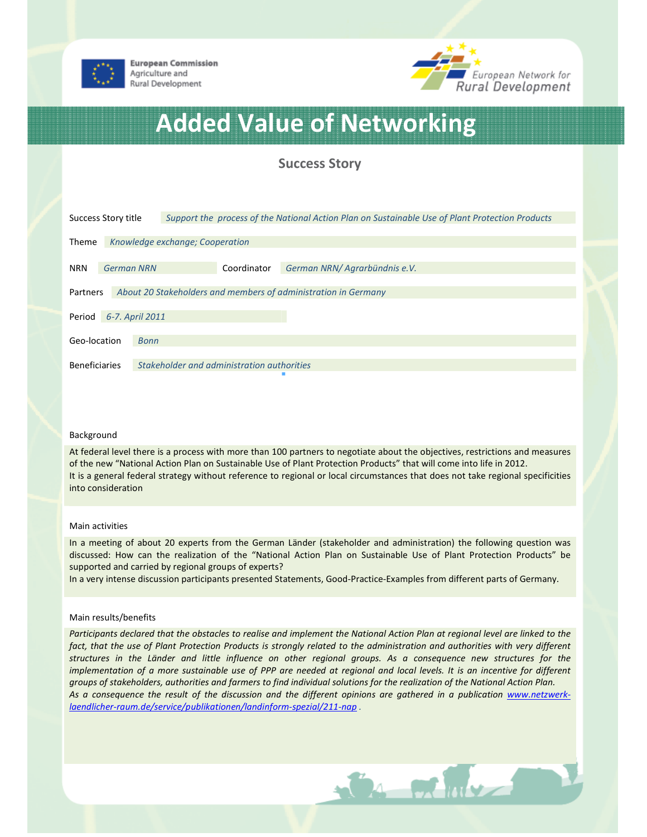

**European Commission** Agriculture and Rural Development



# Added Value of Networking

Success Story

| Success Story title                                                        |                                 |                                            | Support the process of the National Action Plan on Sustainable Use of Plant Protection Products |                               |  |
|----------------------------------------------------------------------------|---------------------------------|--------------------------------------------|-------------------------------------------------------------------------------------------------|-------------------------------|--|
|                                                                            |                                 |                                            |                                                                                                 |                               |  |
| Theme                                                                      | Knowledge exchange; Cooperation |                                            |                                                                                                 |                               |  |
|                                                                            |                                 |                                            |                                                                                                 |                               |  |
| <b>German NRN</b><br><b>NRN</b>                                            |                                 |                                            | Coordinator                                                                                     | German NRN/ Agrarbündnis e.V. |  |
|                                                                            |                                 |                                            |                                                                                                 |                               |  |
| About 20 Stakeholders and members of administration in Germany<br>Partners |                                 |                                            |                                                                                                 |                               |  |
|                                                                            |                                 |                                            |                                                                                                 |                               |  |
| 6-7. April 2011<br>Period                                                  |                                 |                                            |                                                                                                 |                               |  |
|                                                                            |                                 |                                            |                                                                                                 |                               |  |
| Geo-location                                                               |                                 | Bonn                                       |                                                                                                 |                               |  |
|                                                                            |                                 |                                            |                                                                                                 |                               |  |
| <b>Beneficiaries</b>                                                       |                                 | Stakeholder and administration authorities |                                                                                                 |                               |  |

### Background

At federal level there is a process with more than 100 partners to negotiate about the objectives, restrictions and measures of the new "National Action Plan on Sustainable Use of Plant Protection Products" that will come into life in 2012. It is a general federal strategy without reference to regional or local circumstances that does not take regional specificities into consideration

#### Main activities

In a meeting of about 20 experts from the German Länder (stakeholder and administration) the following question was discussed: How can the realization of the "National Action Plan on Sustainable Use of Plant Protection Products" be supported and carried by regional groups of experts?

In a very intense discussion participants presented Statements, Good-Practice-Examples from different parts of Germany.

### Main results/benefits

Participants declared that the obstacles to realise and implement the National Action Plan at regional level are linked to the fact, that the use of Plant Protection Products is strongly related to the administration and authorities with very different structures in the Länder and little influence on other regional groups. As a consequence new structures for the implementation of a more sustainable use of PPP are needed at regional and local levels. It is an incentive for different groups of stakeholders, authorities and farmers to find individual solutions for the realization of the National Action Plan. As a consequence the result of the discussion and the different opinions are gathered in a publication www.netzwerklaendlicher-raum.de/service/publikationen/landinform-spezial/211-nap .

**CALCULATION**